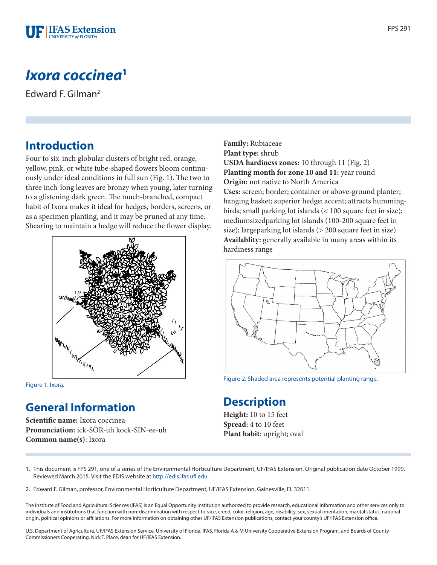

# *Ixora coccinea***<sup>1</sup>**

Edward F. Gilman2

### **Introduction**

Four to six-inch globular clusters of bright red, orange, yellow, pink, or white tube-shaped flowers bloom continuously under ideal conditions in full sun (Fig. 1). The two to three inch-long leaves are bronzy when young, later turning to a glistening dark green. The much-branched, compact habit of Ixora makes it ideal for hedges, borders, screens, or as a specimen planting, and it may be pruned at any time. Shearing to maintain a hedge will reduce the flower display.



Figure 1. Ixora.

### **General Information**

**Scientific name:** Ixora coccinea **Pronunciation:** ick-SOR-uh kock-SIN-ee-uh **Common name(s)**: Ixora

**Family:** Rubiaceae **Plant type:** shrub **USDA hardiness zones:** 10 through 11 (Fig. 2) **Planting month for zone 10 and 11:** year round **Origin:** not native to North America **Uses:** screen; border; container or above-ground planter; hanging basket; superior hedge; accent; attracts hummingbirds; small parking lot islands (< 100 square feet in size); mediumsizedparking lot islands (100-200 square feet in size); largeparking lot islands (> 200 square feet in size) **Availablity:** generally available in many areas within its hardiness range



Figure 2. Shaded area represents potential planting range.

### **Description**

**Height:** 10 to 15 feet **Spread:** 4 to 10 feet **Plant habit**: upright; oval

1. This document is FPS 291, one of a series of the Environmental Horticulture Department, UF/IFAS Extension. Original publication date October 1999. Reviewed March 2015. Visit the EDIS website at [http://edis.ifas.ufl.edu.](http://edis.ifas.ufl.edu)

2. Edward F. Gilman, professor, Environmental Horticulture Department, UF/IFAS Extension, Gainesville, FL 32611.

The Institute of Food and Agricultural Sciences (IFAS) is an Equal Opportunity Institution authorized to provide research, educational information and other services only to individuals and institutions that function with non-discrimination with respect to race, creed, color, religion, age, disability, sex, sexual orientation, marital status, national origin, political opinions or affiliations. For more information on obtaining other UF/IFAS Extension publications, contact your county's UF/IFAS Extension office.

U.S. Department of Agriculture, UF/IFAS Extension Service, University of Florida, IFAS, Florida A & M University Cooperative Extension Program, and Boards of County Commissioners Cooperating. Nick T. Place, dean for UF/IFAS Extension.